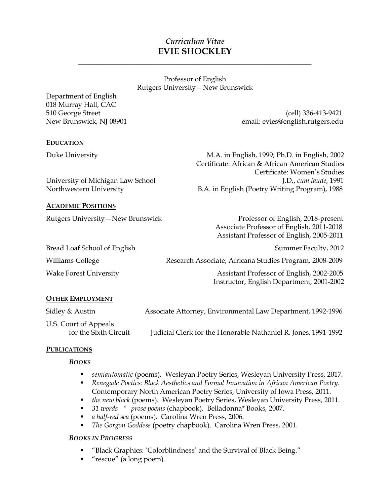# *Curriculum Vitae* **EVIE SHOCKLEY**

**\_\_\_\_\_\_\_\_\_\_\_\_\_\_\_\_\_\_\_\_\_\_\_\_\_\_\_\_\_\_\_\_\_\_\_\_\_\_\_\_\_\_\_\_\_\_\_\_\_\_\_\_\_\_\_\_\_\_\_\_\_**

Professor of English Rutgers University—New Brunswick

Department of English 018 Murray Hall, CAC

510 George Street (cell) 336-413-9421 New Brunswick, NJ 08901 email: evies@english.rutgers.edu

#### **EDUCATION**

Duke University M.A. in English, 1999; Ph.D. in English, 2002 Certificate: African & African American Studies Certificate: Women's Studies University of Michigan Law School J.D., *cum laude*, 1991 Northwestern University B.A. in English (Poetry Writing Program), 1988

#### **ACADEMIC POSITIONS**

Rutgers University—New Brunswick **Professor of English, 2018-present** 

Bread Loaf School of English Summer Faculty, 2012

Williams College The Research Associate, Africana Studies Program, 2008-2009

Wake Forest University Assistant Professor of English, 2002-2005 Instructor, English Department, 2001-2002

 Associate Professor of English, 2011-2018 Assistant Professor of English, 2005-2011

### **OTHER EMPLOYMENT**

| Sidley & Austin                                | Associate Attorney, Environmental Law Department, 1992-1996    |
|------------------------------------------------|----------------------------------------------------------------|
| U.S. Court of Appeals<br>for the Sixth Circuit | Judicial Clerk for the Honorable Nathaniel R. Jones, 1991-1992 |

### **PUBLICATIONS**

### *BOOKS*

- § *semiautomatic* (poems). Wesleyan Poetry Series, Wesleyan University Press, 2017.
- *Renegade Poetics: Black Aesthetics and Formal Innovation in African American Poetry.* Contemporary North American Poetry Series, University of Iowa Press, 2011.
- § *the new black* (poems). Wesleyan Poetry Series, Wesleyan University Press, 2011.
- § *31 words \* prose poems* (chapbook). Belladonna\* Books, 2007.
- § *a half-red sea* (poems). Carolina Wren Press, 2006.
- § *The Gorgon Goddess* (poetry chapbook). Carolina Wren Press, 2001.

### *BOOKS IN PROGRESS*

- § "Black Graphics: 'Colorblindness' and the Survival of Black Being."
- § "rescue" (a long poem).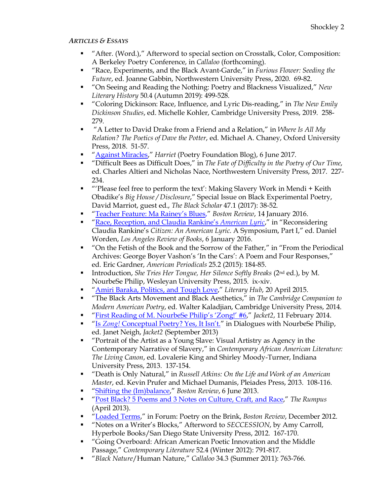## *ARTICLES & ESSAYS*

- "After. (Word.)," Afterword to special section on Crosstalk, Color, Composition: A Berkeley Poetry Conference, in *Callaloo* (forthcoming).
- "Race, Experiments, and the Black Avant-Garde," in *Furious Flower: Seeding the Future*, ed. Joanne Gabbin, Northwestern University Press, 2020. 69-82.
- § "On Seeing and Reading the Nothing: Poetry and Blackness Visualized," *New Literary History* 50.4 (Autumn 2019): 499-528.
- § "Coloring Dickinson: Race, Influence, and Lyric Dis-reading," in *The New Emily Dickinson Studies*, ed. Michelle Kohler, Cambridge University Press, 2019. 258- 279.
- <sup>"</sup>A Letter to David Drake from a Friend and a Relation," in *Where Is All My Relation? The Poetics of Dave the Potter*, ed. Michael A. Chaney, Oxford University Press, 2018. 51-57.
- § "Against Miracles," *Harriet* (Poetry Foundation Blog), 6 June 2017.
- § "Difficult Bees as Difficult Does," in *The Fate of Difficulty in the Poetry of Our Time*, ed. Charles Altieri and Nicholas Nace, Northwestern University Press, 2017. 227- 234.
- "Please feel free to perform the text': Making Slavery Work in Mendi + Keith Obadike's *Big House / Disclosure*," Special Issue on Black Experimental Poetry, David Marriot, guest ed., *The Black Scholar* 47.1 (2017): 38-52.
- § "Teacher Feature: Ma Rainey's Blues," *Boston Review*, 14 January 2016.
- *"Race, Reception, and Claudia Rankine's American Lyric,*" in "Reconsidering Claudia Rankine's *Citizen: An American Lyric*. A Symposium, Part I," ed. Daniel Worden, *Los Angeles Review of Books*, 6 January 2016.
- § "On the Fetish of the Book and the Sorrow of the Father," in "From the Periodical Archives: George Boyer Vashon's 'In the Cars': A Poem and Four Responses," ed. Eric Gardner, *American Periodicals* 25.2 (2015): 184-85.
- § Introduction, *She Tries Her Tongue, Her Silence Softly Breaks* (2nd ed.), by M. NourbeSe Philip, Wesleyan University Press, 2015. ix-xiv.
- § "Amiri Baraka, Politics, and Tough Love," *Literary Hub*, 20 April 2015.
- § "The Black Arts Movement and Black Aesthetics," in *The Cambridge Companion to Modern American Poetry*, ed. Walter Kaladjian, Cambridge University Press, 2014.
- § "First Reading of M. NourbeSe Philip's 'Zong!' #6," *Jacket2*, 11 February 2014.
- *"*Is *Zong!* Conceptual Poetry? Yes, It Isn't." in Dialogues with NourbeSe Philip, ed. Janet Neigh, *Jacket2* (September 2013)
- "Portrait of the Artist as a Young Slave: Visual Artistry as Agency in the Contemporary Narrative of Slavery," in *Contemporary African American Literature: The Living Canon*, ed. Lovalerie King and Shirley Moody-Turner, Indiana University Press, 2013. 137-154.
- "Death is Only Natural," in *Russell Atkins: On the Life and Work of an American Master*, ed. Kevin Prufer and Michael Dumanis, Pleiades Press, 2013. 108-116.
- *"Shifting the (Im)balance," Boston Review, 6 June 2013.*
- § "Post Black? 5 Poems and 3 Notes on Culture, Craft, and Race," *The Rumpus* (April 2013).
- § "Loaded Terms," in Forum: Poetry on the Brink, *Boston Review*, December 2012.
- § "Notes on a Writer's Blocks," Afterword to *SECCESSION*, by Amy Carroll, Hyperbole Books/San Diego State University Press, 2012. 167-170.
- § "Going Overboard: African American Poetic Innovation and the Middle Passage," *Contemporary Literature* 52.4 (Winter 2012): 791-817.
- § "*Black Nature*/Human Nature," *Callaloo* 34.3 (Summer 2011): 763-766.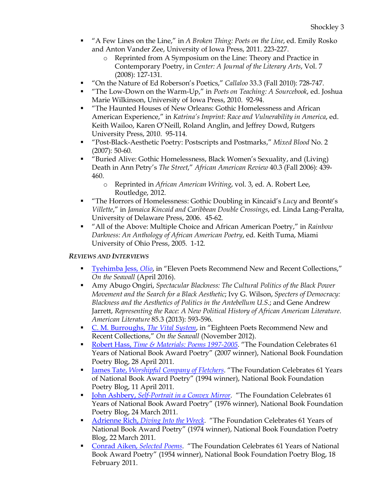- "A Few Lines on the Line," in *A Broken Thing: Poets on the Line*, ed. Emily Rosko and Anton Vander Zee, University of Iowa Press, 2011. 223-227.
	- o Reprinted from A Symposium on the Line: Theory and Practice in Contemporary Poetry, in *Center: A Journal of the Literary Arts*, Vol. 7 (2008): 127-131.
- § "On the Nature of Ed Roberson's Poetics," *Callaloo* 33.3 (Fall 2010): 728-747.
- § "The Low-Down on the Warm-Up," in *Poets on Teaching: A Sourcebook*, ed. Joshua Marie Wilkinson, University of Iowa Press, 2010. 92-94.
- § "The Haunted Houses of New Orleans: Gothic Homelessness and African American Experience," in *Katrina's Imprint: Race and Vulnerability in America*, ed. Keith Wailoo, Karen O'Neill, Roland Anglin, and Jeffrey Dowd, Rutgers University Press, 2010. 95-114.
- § "Post-Black-Aesthetic Poetry: Postscripts and Postmarks," *Mixed Blood* No. 2 (2007): 50-60.
- § "Buried Alive: Gothic Homelessness, Black Women's Sexuality, and (Living) Death in Ann Petry's *The Street*," *African American Review* 40.3 (Fall 2006): 439- 460.
	- o Reprinted in *African American Writing*, vol. 3, ed. A. Robert Lee, Routledge, 2012.
- "The Horrors of Homelessness: Gothic Doubling in Kincaid's *Lucy* and Brontë's *Villette*," in *Jamaica Kincaid and Caribbean Double Crossings*, ed. Linda Lang-Peralta, University of Delaware Press, 2006. 45-62.
- § "All of the Above: Multiple Choice and African American Poetry," in *Rainbow Darkness: An Anthology of African American Poetry*, ed. Keith Tuma, Miami University of Ohio Press, 2005. 1-12.

## *REVIEWS AND INTERVIEWS*

- § Tyehimba Jess, *Olio*, in "Eleven Poets Recommend New and Recent Collections," *On the Seawall* (April 2016).
- § Amy Abugo Ongiri, *Spectacular Blackness: The Cultural Politics of the Black Power Movement and the Search for a Black Aesthetic*; Ivy G. Wilson, *Specters of Democracy: Blackness and the Aesthetics of Politics in the Antebellum U.S.*; and Gene Andrew Jarrett, *Representing the Race: A New Political History of African American Literature*. *American Literature* 85.3 (2013): 593-596.
- § C. M. Burroughs, *The Vital System*, in "Eighteen Poets Recommend New and Recent Collections," *On the Seawall* (November 2012).
- § Robert Hass, *Time & Materials: Poems 1997-2005*. "The Foundation Celebrates 61 Years of National Book Award Poetry" (2007 winner), National Book Foundation Poetry Blog, 28 April 2011.
- James Tate, *Worshipful Company of Fletchers*. "The Foundation Celebrates 61 Years of National Book Award Poetry" (1994 winner), National Book Foundation Poetry Blog, 11 April 2011.
- § John Ashbery, *Self-Portrait in a Convex Mirror*. "The Foundation Celebrates 61 Years of National Book Award Poetry" (1976 winner), National Book Foundation Poetry Blog, 24 March 2011.
- § Adrienne Rich, *Diving Into the Wreck*. "The Foundation Celebrates 61 Years of National Book Award Poetry" (1974 winner), National Book Foundation Poetry Blog, 22 March 2011.
- § Conrad Aiken, *Selected Poems*. "The Foundation Celebrates 61 Years of National Book Award Poetry" (1954 winner), National Book Foundation Poetry Blog, 18 February 2011.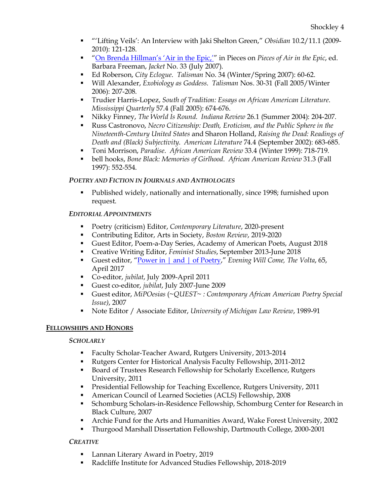- § "'Lifting Veils': An Interview with Jaki Shelton Green," *Obsidian* 10.2/11.1 (2009- 2010): 121-128.
- § "On Brenda Hillman's 'Air in the Epic,'" in Pieces on *Pieces of Air in the Epic*, ed. Barbara Freeman, *Jacket* No. 33 (July 2007).
- Ed Roberson, *City Eclogue. Talisman* No. 34 (Winter/Spring 2007): 60-62.
- § Will Alexander, *Exobiology as Goddess*. *Talisman* Nos. 30-31 (Fall 2005/Winter 2006): 207-208.
- § Trudier Harris-Lopez, *South of Tradition: Essays on African American Literature*. *Mississippi Quarterly* 57.4 (Fall 2005): 674-676.
- § Nikky Finney, *The World Is Round*. *Indiana Review* 26.1 (Summer 2004): 204-207.
- § Russ Castronovo, *Necro Citizenship: Death, Eroticism, and the Public Sphere in the Nineteenth-Century United States* and Sharon Holland, *Raising the Dead: Readings of Death and (Black) Subjectivity*. *American Literature* 74.4 (September 2002): 683-685.
- § Toni Morrison, *Paradise*. *African American Review* 33.4 (Winter 1999): 718-719.
- § bell hooks, *Bone Black: Memories of Girlhood*. *African American Review* 31.3 (Fall 1997): 552-554.

## *POETRY AND FICTION IN JOURNALS AND ANTHOLOGIES*

§ Published widely, nationally and internationally, since 1998; furnished upon request.

## *EDITORIAL APPOINTMENTS*

- Poetry (criticism) Editor, *Contemporary Literature*, 2020-present
- § Contributing Editor, Arts in Society, *Boston Review*, 2019-2020
- § Guest Editor, Poem-a-Day Series, Academy of American Poets, August 2018
- § Creative Writing Editor, *Feminist Studies*, September 2013-June 2018
- Guest editor, "Power in | and | of Poetry," *Evening Will Come*, *The Volta*, 65, April 2017
- § Co-editor, *jubilat*, July 2009-April 2011
- § Guest co-editor, *jubilat*, July 2007-June 2009
- § Guest editor, *MiPOesias* (~*QUEST~ : Contemporary African American Poetry Special Issue)*, 2007
- § Note Editor / Associate Editor, *University of Michigan Law Review*, 1989-91

## **FELLOWSHIPS AND HONORS**

## *SCHOLARLY*

- § Faculty Scholar-Teacher Award, Rutgers University, 2013-2014
- § Rutgers Center for Historical Analysis Faculty Fellowship, 2011-2012
- Board of Trustees Research Fellowship for Scholarly Excellence, Rutgers University, 2011
- § Presidential Fellowship for Teaching Excellence, Rutgers University, 2011
- § American Council of Learned Societies (ACLS) Fellowship, 2008
- § Schomburg Scholars-in-Residence Fellowship, Schomburg Center for Research in Black Culture, 2007
- § Archie Fund for the Arts and Humanities Award, Wake Forest University, 2002
- § Thurgood Marshall Dissertation Fellowship, Dartmouth College, 2000-2001

## *CREATIVE*

- Lannan Literary Award in Poetry, 2019
- § Radcliffe Institute for Advanced Studies Fellowship, 2018-2019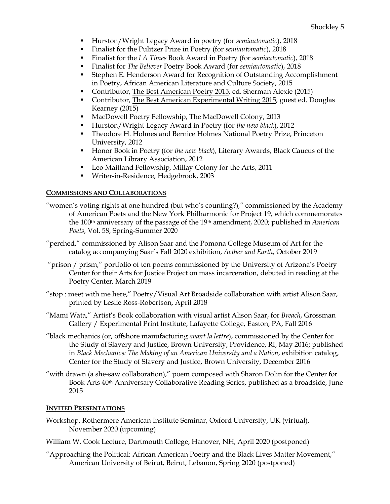- § Hurston/Wright Legacy Award in poetry (for *semiautomatic*), 2018
- § Finalist for the Pulitzer Prize in Poetry (for *semiautomatic*), 2018
- § Finalist for the *LA Times* Book Award in Poetry (for *semiautomatic*), 2018
- § Finalist for *The Believer* Poetry Book Award (for *semiautomatic*), 2018
- Stephen E. Henderson Award for Recognition of Outstanding Accomplishment in Poetry, African American Literature and Culture Society, 2015
- Contributor, The Best American Poetry 2015, ed. Sherman Alexie (2015)
- Contributor, The Best American Experimental Writing 2015, guest ed. Douglas Kearney (2015)
- MacDowell Poetry Fellowship, The MacDowell Colony, 2013
- § Hurston/Wright Legacy Award in Poetry (for *the new black*), 2012
- § Theodore H. Holmes and Bernice Holmes National Poetry Prize, Princeton University, 2012
- § Honor Book in Poetry (for *the new black*), Literary Awards, Black Caucus of the American Library Association, 2012
- Leo Maitland Fellowship, Millay Colony for the Arts, 2011
- § Writer-in-Residence, Hedgebrook, 2003

### **COMMISSIONS AND COLLABORATIONS**

- "women's voting rights at one hundred (but who's counting?)," commissioned by the Academy of American Poets and the New York Philharmonic for Project 19, which commemorates the 100<sup>th</sup> anniversary of the passage of the 19<sup>th</sup> amendment, 2020; published in *American Poets*, Vol. 58, Spring-Summer 2020
- "perched," commissioned by Alison Saar and the Pomona College Museum of Art for the catalog accompanying Saar's Fall 2020 exhibition, *Aether and Earth*, October 2019
- "prison / prism," portfolio of ten poems commissioned by the University of Arizona's Poetry Center for their Arts for Justice Project on mass incarceration, debuted in reading at the Poetry Center, March 2019
- "stop : meet with me here," Poetry/Visual Art Broadside collaboration with artist Alison Saar, printed by Leslie Ross-Robertson, April 2018
- "Mami Wata," Artist's Book collaboration with visual artist Alison Saar, for *Breach*, Grossman Gallery / Experimental Print Institute, Lafayette College, Easton, PA, Fall 2016
- "black mechanics (or, offshore manufacturing *avant la lettre*), commissioned by the Center for the Study of Slavery and Justice, Brown University, Providence, RI, May 2016; published in *Black Mechanics: The Making of an American University and a Nation*, exhibition catalog, Center for the Study of Slavery and Justice, Brown University, December 2016
- "with drawn (a she-saw collaboration)," poem composed with Sharon Dolin for the Center for Book Arts 40th Anniversary Collaborative Reading Series, published as a broadside, June 2015

### **INVITED PRESENTATIONS**

- Workshop, Rothermere American Institute Seminar, Oxford University, UK (virtual), November 2020 (upcoming)
- William W. Cook Lecture, Dartmouth College, Hanover, NH, April 2020 (postponed)
- "Approaching the Political: African American Poetry and the Black Lives Matter Movement," American University of Beirut, Beirut, Lebanon, Spring 2020 (postponed)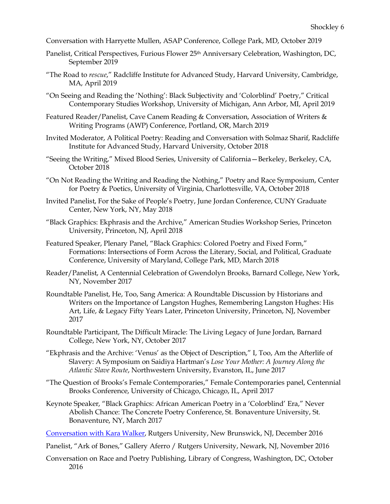Conversation with Harryette Mullen, ASAP Conference, College Park, MD, October 2019

- Panelist, Critical Perspectives, Furious Flower 25<sup>th</sup> Anniversary Celebration, Washington, DC, September 2019
- "The Road to *rescue*," Radcliffe Institute for Advanced Study, Harvard University, Cambridge, MA, April 2019
- "On Seeing and Reading the 'Nothing': Black Subjectivity and 'Colorblind' Poetry," Critical Contemporary Studies Workshop, University of Michigan, Ann Arbor, MI, April 2019
- Featured Reader/Panelist, Cave Canem Reading & Conversation, Association of Writers & Writing Programs (AWP) Conference, Portland, OR, March 2019
- Invited Moderator, A Political Poetry: Reading and Conversation with Solmaz Sharif, Radcliffe Institute for Advanced Study, Harvard University, October 2018
- "Seeing the Writing," Mixed Blood Series, University of California—Berkeley, Berkeley, CA, October 2018
- "On Not Reading the Writing and Reading the Nothing," Poetry and Race Symposium, Center for Poetry & Poetics, University of Virginia, Charlottesville, VA, October 2018
- Invited Panelist, For the Sake of People's Poetry, June Jordan Conference, CUNY Graduate Center, New York, NY, May 2018
- "Black Graphics: Ekphrasis and the Archive," American Studies Workshop Series, Princeton University, Princeton, NJ, April 2018
- Featured Speaker, Plenary Panel, "Black Graphics: Colored Poetry and Fixed Form," Formations: Intersections of Form Across the Literary, Social, and Political, Graduate Conference, University of Maryland, College Park, MD, March 2018
- Reader/Panelist, A Centennial Celebration of Gwendolyn Brooks, Barnard College, New York, NY, November 2017
- Roundtable Panelist, He, Too, Sang America: A Roundtable Discussion by Historians and Writers on the Importance of Langston Hughes, Remembering Langston Hughes: His Art, Life, & Legacy Fifty Years Later, Princeton University, Princeton, NJ, November 2017
- Roundtable Participant, The Difficult Miracle: The Living Legacy of June Jordan, Barnard College, New York, NY, October 2017
- "Ekphrasis and the Archive: 'Venus' as the Object of Description," I, Too, Am the Afterlife of Slavery: A Symposium on Saidiya Hartman's *Lose Your Mother: A Journey Along the Atlantic Slave Route*, Northwestern University, Evanston, IL, June 2017
- "The Question of Brooks's Female Contemporaries," Female Contemporaries panel, Centennial Brooks Conference, University of Chicago, Chicago, IL, April 2017
- Keynote Speaker, "Black Graphics: African American Poetry in a 'Colorblind' Era," Never Abolish Chance: The Concrete Poetry Conference, St. Bonaventure University, St. Bonaventure, NY, March 2017
- Conversation with Kara Walker, Rutgers University, New Brunswick, NJ, December 2016
- Panelist, "Ark of Bones," Gallery Aferro / Rutgers University, Newark, NJ, November 2016
- Conversation on Race and Poetry Publishing, Library of Congress, Washington, DC, October 2016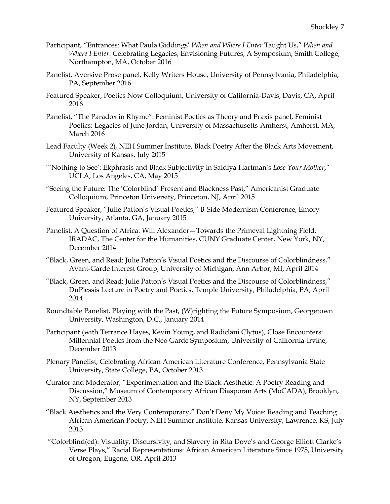- Participant, "Entrances: What Paula Giddings' *When and Where I Enter* Taught Us," *When and Where I Enter*: Celebrating Legacies, Envisioning Futures, A Symposium, Smith College, Northampton, MA, October 2016
- Panelist, Aversive Prose panel, Kelly Writers House, University of Pennsylvania, Philadelphia, PA, September 2016
- Featured Speaker, Poetics Now Colloquium, University of California-Davis, Davis, CA, April 2016
- Panelist, "The Paradox in Rhyme": Feminist Poetics as Theory and Praxis panel, Feminist Poetics: Legacies of June Jordan, University of Massachusetts-Amherst, Amherst, MA, March 2016
- Lead Faculty (Week 2), NEH Summer Institute, Black Poetry After the Black Arts Movement, University of Kansas, July 2015
- "'Nothing to See': Ekphrasis and Black Subjectivity in Saidiya Hartman's *Lose Your Mother*," UCLA, Los Angeles, CA, May 2015
- "Seeing the Future: The 'Colorblind' Present and Blackness Past," Americanist Graduate Colloquium, Princeton University, Princeton, NJ, April 2015
- Featured Speaker, "Julie Patton's Visual Poetics," B-Side Modernism Conference, Emory University, Atlanta, GA, January 2015
- Panelist, A Question of Africa: Will Alexander—Towards the Primeval Lightning Field, IRADAC, The Center for the Humanities, CUNY Graduate Center, New York, NY, December 2014
- "Black, Green, and Read: Julie Patton's Visual Poetics and the Discourse of Colorblindness," Avant-Garde Interest Group, University of Michigan, Ann Arbor, MI, April 2014
- "Black, Green, and Read: Julie Patton's Visual Poetics and the Discourse of Colorblindness," DuPlessis Lecture in Poetry and Poetics, Temple University, Philadelphia, PA, April 2014
- Roundtable Panelist, Playing with the Past, (W)righting the Future Symposium, Georgetown University, Washington, D.C., January 2014
- Participant (with Terrance Hayes, Kevin Young, and Radiclani Clytus), Close Encounters: Millennial Poetics from the Neo Garde Symposium, University of California-Irvine, December 2013
- Plenary Panelist, Celebrating African American Literature Conference, Pennsylvania State University, State College, PA, October 2013
- Curator and Moderator, "Experimentation and the Black Aesthetic: A Poetry Reading and Discussion," Museum of Contemporary African Diasporan Arts (MoCADA), Brooklyn, NY, September 2013
- "Black Aesthetics and the Very Contemporary," Don't Deny My Voice: Reading and Teaching African American Poetry, NEH Summer Institute, Kansas University, Lawrence, KS, July 2013
- "Colorblind(ed): Visuality, Discursivity, and Slavery in Rita Dove's and George Elliott Clarke's Verse Plays," Racial Representations: African American Literature Since 1975, University of Oregon, Eugene, OR, April 2013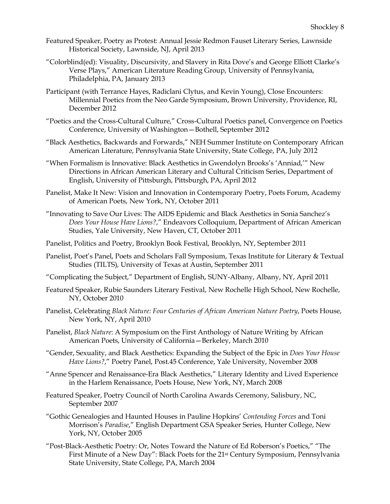- Featured Speaker, Poetry as Protest: Annual Jessie Redmon Fauset Literary Series, Lawnside Historical Society, Lawnside, NJ, April 2013
- "Colorblind(ed): Visuality, Discursivity, and Slavery in Rita Dove's and George Elliott Clarke's Verse Plays," American Literature Reading Group, University of Pennsylvania, Philadelphia, PA, January 2013
- Participant (with Terrance Hayes, Radiclani Clytus, and Kevin Young), Close Encounters: Millennial Poetics from the Neo Garde Symposium, Brown University, Providence, RI, December 2012
- "Poetics and the Cross-Cultural Culture," Cross-Cultural Poetics panel, Convergence on Poetics Conference, University of Washington—Bothell, September 2012
- "Black Aesthetics, Backwards and Forwards," NEH Summer Institute on Contemporary African American Literature, Pennsylvania State University, State College, PA, July 2012
- "When Formalism is Innovative: Black Aesthetics in Gwendolyn Brooks's 'Anniad,'" New Directions in African American Literary and Cultural Criticism Series, Department of English, University of Pittsburgh, Pittsburgh, PA, April 2012
- Panelist, Make It New: Vision and Innovation in Contemporary Poetry, Poets Forum, Academy of American Poets, New York, NY, October 2011
- "Innovating to Save Our Lives: The AIDS Epidemic and Black Aesthetics in Sonia Sanchez's *Does Your House Have Lions?*," Endeavors Colloquium, Department of African American Studies, Yale University, New Haven, CT, October 2011
- Panelist, Politics and Poetry, Brooklyn Book Festival, Brooklyn, NY, September 2011
- Panelist, Poet's Panel, Poets and Scholars Fall Symposium, Texas Institute for Literary & Textual Studies (TILTS), University of Texas at Austin, September 2011
- "Complicating the Subject," Department of English, SUNY-Albany, Albany, NY, April 2011
- Featured Speaker, Rubie Saunders Literary Festival, New Rochelle High School, New Rochelle, NY, October 2010
- Panelist, Celebrating *Black Nature: Four Centuries of African American Nature Poetry*, Poets House, New York, NY, April 2010
- Panelist, *Black Nature*: A Symposium on the First Anthology of Nature Writing by African American Poets, University of California—Berkeley, March 2010
- "Gender, Sexuality, and Black Aesthetics: Expanding the Subject of the Epic in *Does Your House Have Lions?*," Poetry Panel, Post.45 Conference, Yale University, November 2008
- "Anne Spencer and Renaissance-Era Black Aesthetics," Literary Identity and Lived Experience in the Harlem Renaissance, Poets House, New York, NY, March 2008
- Featured Speaker, Poetry Council of North Carolina Awards Ceremony, Salisbury, NC, September 2007
- "Gothic Genealogies and Haunted Houses in Pauline Hopkins' *Contending Forces* and Toni Morrison's *Paradise*," English Department GSA Speaker Series, Hunter College, New York, NY, October 2005
- "Post-Black-Aesthetic Poetry: Or, Notes Toward the Nature of Ed Roberson's Poetics," "The First Minute of a New Day": Black Poets for the 21st Century Symposium, Pennsylvania State University, State College, PA, March 2004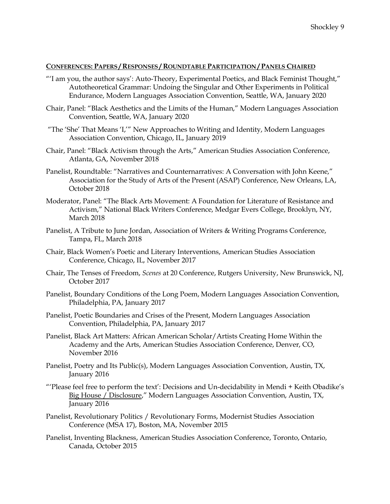#### **CONFERENCES: PAPERS / RESPONSES / ROUNDTABLE PARTICIPATION / PANELS CHAIRED**

- "'I am you, the author says': Auto-Theory, Experimental Poetics, and Black Feminist Thought," Autotheoretical Grammar: Undoing the Singular and Other Experiments in Political Endurance, Modern Languages Association Convention, Seattle, WA, January 2020
- Chair, Panel: "Black Aesthetics and the Limits of the Human," Modern Languages Association Convention, Seattle, WA, January 2020
- "The 'She' That Means 'I,'" New Approaches to Writing and Identity, Modern Languages Association Convention, Chicago, IL, January 2019
- Chair, Panel: "Black Activism through the Arts," American Studies Association Conference, Atlanta, GA, November 2018
- Panelist, Roundtable: "Narratives and Counternarratives: A Conversation with John Keene," Association for the Study of Arts of the Present (ASAP) Conference, New Orleans, LA, October 2018
- Moderator, Panel: "The Black Arts Movement: A Foundation for Literature of Resistance and Activism," National Black Writers Conference, Medgar Evers College, Brooklyn, NY, March 2018
- Panelist, A Tribute to June Jordan, Association of Writers & Writing Programs Conference, Tampa, FL, March 2018
- Chair, Black Women's Poetic and Literary Interventions, American Studies Association Conference, Chicago, IL, November 2017
- Chair, The Tenses of Freedom, *Scenes* at 20 Conference, Rutgers University, New Brunswick, NJ, October 2017
- Panelist, Boundary Conditions of the Long Poem, Modern Languages Association Convention, Philadelphia, PA, January 2017
- Panelist, Poetic Boundaries and Crises of the Present, Modern Languages Association Convention, Philadelphia, PA, January 2017
- Panelist, Black Art Matters: African American Scholar/Artists Creating Home Within the Academy and the Arts, American Studies Association Conference, Denver, CO, November 2016
- Panelist, Poetry and Its Public(s), Modern Languages Association Convention, Austin, TX, January 2016
- "'Please feel free to perform the text': Decisions and Un-decidability in Mendi + Keith Obadike's Big House / Disclosure," Modern Languages Association Convention, Austin, TX, January 2016
- Panelist, Revolutionary Politics / Revolutionary Forms, Modernist Studies Association Conference (MSA 17), Boston, MA, November 2015
- Panelist, Inventing Blackness, American Studies Association Conference, Toronto, Ontario, Canada, October 2015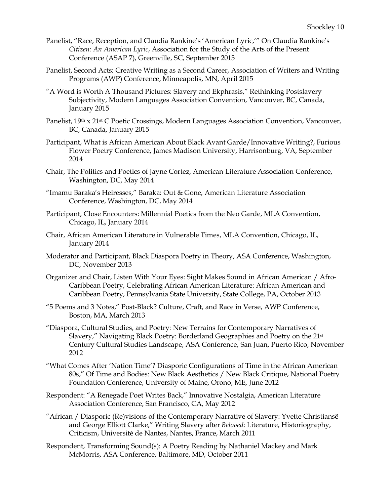- Panelist, "Race, Reception, and Claudia Rankine's 'American Lyric,'" On Claudia Rankine's *Citizen: An American Lyric*, Association for the Study of the Arts of the Present Conference (ASAP 7), Greenville, SC, September 2015
- Panelist, Second Acts: Creative Writing as a Second Career, Association of Writers and Writing Programs (AWP) Conference, Minneapolis, MN, April 2015
- "A Word is Worth A Thousand Pictures: Slavery and Ekphrasis," Rethinking Postslavery Subjectivity, Modern Languages Association Convention, Vancouver, BC, Canada, January 2015
- Panelist, 19th x 21st C Poetic Crossings, Modern Languages Association Convention, Vancouver, BC, Canada, January 2015
- Participant, What is African American About Black Avant Garde/Innovative Writing?, Furious Flower Poetry Conference, James Madison University, Harrisonburg, VA, September 2014
- Chair, The Politics and Poetics of Jayne Cortez, American Literature Association Conference, Washington, DC, May 2014
- "Imamu Baraka's Heiresses," Baraka: Out & Gone, American Literature Association Conference, Washington, DC, May 2014
- Participant, Close Encounters: Millennial Poetics from the Neo Garde, MLA Convention, Chicago, IL, January 2014
- Chair, African American Literature in Vulnerable Times, MLA Convention, Chicago, IL, January 2014
- Moderator and Participant, Black Diaspora Poetry in Theory, ASA Conference, Washington, DC, November 2013
- Organizer and Chair, Listen With Your Eyes: Sight Makes Sound in African American / Afro-Caribbean Poetry, Celebrating African American Literature: African American and Caribbean Poetry, Pennsylvania State University, State College, PA, October 2013
- "5 Poems and 3 Notes," Post-Black? Culture, Craft, and Race in Verse, AWP Conference, Boston, MA, March 2013
- "Diaspora, Cultural Studies, and Poetry: New Terrains for Contemporary Narratives of Slavery," Navigating Black Poetry: Borderland Geographies and Poetry on the 21st Century Cultural Studies Landscape, ASA Conference, San Juan, Puerto Rico, November 2012
- "What Comes After 'Nation Time'? Diasporic Configurations of Time in the African American 80s," Of Time and Bodies: New Black Aesthetics / New Black Critique, National Poetry Foundation Conference, University of Maine, Orono, ME, June 2012
- Respondent: "A Renegade Poet Writes Back," Innovative Nostalgia, American Literature Association Conference, San Francisco, CA, May 2012
- "African / Diasporic (Re)visions of the Contemporary Narrative of Slavery: Yvette Christiansë and George Elliott Clarke," Writing Slavery after *Beloved*: Literature, Historiography, Criticism, Université de Nantes, Nantes, France, March 2011
- Respondent, Transforming Sound(s): A Poetry Reading by Nathaniel Mackey and Mark McMorris, ASA Conference, Baltimore, MD, October 2011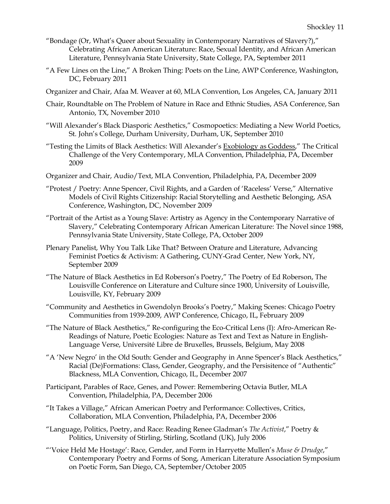- "Bondage (Or, What's Queer about Sexuality in Contemporary Narratives of Slavery?)," Celebrating African American Literature: Race, Sexual Identity, and African American Literature, Pennsylvania State University, State College, PA, September 2011
- "A Few Lines on the Line," A Broken Thing: Poets on the Line, AWP Conference, Washington, DC, February 2011
- Organizer and Chair, Afaa M. Weaver at 60, MLA Convention, Los Angeles, CA, January 2011
- Chair, Roundtable on The Problem of Nature in Race and Ethnic Studies, ASA Conference, San Antonio, TX, November 2010
- "Will Alexander's Black Diasporic Aesthetics," Cosmopoetics: Mediating a New World Poetics, St. John's College, Durham University, Durham, UK, September 2010
- "Testing the Limits of Black Aesthetics: Will Alexander's Exobiology as Goddess," The Critical Challenge of the Very Contemporary, MLA Convention, Philadelphia, PA, December 2009
- Organizer and Chair, Audio/Text, MLA Convention, Philadelphia, PA, December 2009
- "Protest / Poetry: Anne Spencer, Civil Rights, and a Garden of 'Raceless' Verse," Alternative Models of Civil Rights Citizenship: Racial Storytelling and Aesthetic Belonging, ASA Conference, Washington, DC, November 2009
- "Portrait of the Artist as a Young Slave: Artistry as Agency in the Contemporary Narrative of Slavery," Celebrating Contemporary African American Literature: The Novel since 1988, Pennsylvania State University, State College, PA, October 2009
- Plenary Panelist, Why You Talk Like That? Between Orature and Literature, Advancing Feminist Poetics & Activism: A Gathering, CUNY-Grad Center, New York, NY, September 2009
- "The Nature of Black Aesthetics in Ed Roberson's Poetry," The Poetry of Ed Roberson, The Louisville Conference on Literature and Culture since 1900, University of Louisville, Louisville, KY, February 2009
- "Community and Aesthetics in Gwendolyn Brooks's Poetry," Making Scenes: Chicago Poetry Communities from 1939-2009, AWP Conference, Chicago, IL, February 2009
- "The Nature of Black Aesthetics," Re-configuring the Eco-Critical Lens (I): Afro-American Re-Readings of Nature, Poetic Ecologies: Nature as Text and Text as Nature in English-Language Verse, Université Libre de Bruxelles, Brussels, Belgium, May 2008
- "A 'New Negro' in the Old South: Gender and Geography in Anne Spencer's Black Aesthetics," Racial (De)Formations: Class, Gender, Geography, and the Persisitence of "Authentic" Blackness, MLA Convention, Chicago, IL, December 2007
- Participant, Parables of Race, Genes, and Power: Remembering Octavia Butler, MLA Convention, Philadelphia, PA, December 2006
- "It Takes a Village," African American Poetry and Performance: Collectives, Critics, Collaboration, MLA Convention, Philadelphia, PA, December 2006
- "Language, Politics, Poetry, and Race: Reading Renee Gladman's *The Activist*," Poetry & Politics, University of Stirling, Stirling, Scotland (UK), July 2006
- "'Voice Held Me Hostage': Race, Gender, and Form in Harryette Mullen's *Muse & Drudge*," Contemporary Poetry and Forms of Song, American Literature Association Symposium on Poetic Form, San Diego, CA, September/October 2005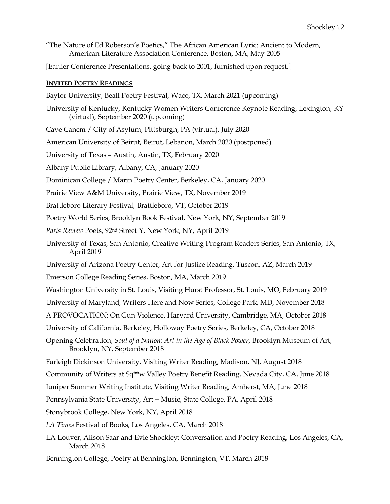"The Nature of Ed Roberson's Poetics," The African American Lyric: Ancient to Modern, American Literature Association Conference, Boston, MA, May 2005

[Earlier Conference Presentations, going back to 2001, furnished upon request.]

#### **INVITED POETRY READINGS**

- Baylor University, Beall Poetry Festival, Waco, TX, March 2021 (upcoming)
- University of Kentucky, Kentucky Women Writers Conference Keynote Reading, Lexington, KY (virtual), September 2020 (upcoming)
- Cave Canem / City of Asylum, Pittsburgh, PA (virtual), July 2020
- American University of Beirut, Beirut, Lebanon, March 2020 (postponed)
- University of Texas Austin, Austin, TX, February 2020
- Albany Public Library, Albany, CA, January 2020
- Dominican College / Marin Poetry Center, Berkeley, CA, January 2020
- Prairie View A&M University, Prairie View, TX, November 2019
- Brattleboro Literary Festival, Brattleboro, VT, October 2019
- Poetry World Series, Brooklyn Book Festival, New York, NY, September 2019
- *Paris Review* Poets, 92nd Street Y, New York, NY, April 2019
- University of Texas, San Antonio, Creative Writing Program Readers Series, San Antonio, TX, April 2019
- University of Arizona Poetry Center, Art for Justice Reading, Tuscon, AZ, March 2019
- Emerson College Reading Series, Boston, MA, March 2019
- Washington University in St. Louis, Visiting Hurst Professor, St. Louis, MO, February 2019
- University of Maryland, Writers Here and Now Series, College Park, MD, November 2018
- A PROVOCATION: On Gun Violence, Harvard University, Cambridge, MA, October 2018
- University of California, Berkeley, Holloway Poetry Series, Berkeley, CA, October 2018
- Opening Celebration, *Soul of a Nation: Art in the Age of Black Power*, Brooklyn Museum of Art, Brooklyn, NY, September 2018
- Farleigh Dickinson University, Visiting Writer Reading, Madison, NJ, August 2018
- Community of Writers at Sq\*\*w Valley Poetry Benefit Reading, Nevada City, CA, June 2018
- Juniper Summer Writing Institute, Visiting Writer Reading, Amherst, MA, June 2018
- Pennsylvania State University, Art + Music, State College, PA, April 2018
- Stonybrook College, New York, NY, April 2018
- *LA Times* Festival of Books, Los Angeles, CA, March 2018
- LA Louver, Alison Saar and Evie Shockley: Conversation and Poetry Reading, Los Angeles, CA, March 2018
- Bennington College, Poetry at Bennington, Bennington, VT, March 2018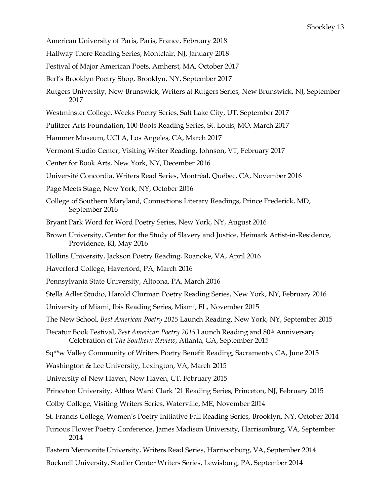- American University of Paris, Paris, France, February 2018
- Halfway There Reading Series, Montclair, NJ, January 2018
- Festival of Major American Poets, Amherst, MA, October 2017
- Berl's Brooklyn Poetry Shop, Brooklyn, NY, September 2017
- Rutgers University, New Brunswick, Writers at Rutgers Series, New Brunswick, NJ, September 2017
- Westminster College, Weeks Poetry Series, Salt Lake City, UT, September 2017
- Pulitzer Arts Foundation, 100 Boots Reading Series, St. Louis, MO, March 2017
- Hammer Museum, UCLA, Los Angeles, CA, March 2017
- Vermont Studio Center, Visiting Writer Reading, Johnson, VT, February 2017
- Center for Book Arts, New York, NY, December 2016
- Université Concordia, Writers Read Series, Montréal, Québec, CA, November 2016
- Page Meets Stage, New York, NY, October 2016
- College of Southern Maryland, Connections Literary Readings, Prince Frederick, MD, September 2016
- Bryant Park Word for Word Poetry Series, New York, NY, August 2016
- Brown University, Center for the Study of Slavery and Justice, Heimark Artist-in-Residence, Providence, RI, May 2016
- Hollins University, Jackson Poetry Reading, Roanoke, VA, April 2016
- Haverford College, Haverford, PA, March 2016
- Pennsylvania State University, Altoona, PA, March 2016
- Stella Adler Studio, Harold Clurman Poetry Reading Series, New York, NY, February 2016
- University of Miami, Ibis Reading Series, Miami, FL, November 2015
- The New School, *Best American Poetry 2015* Launch Reading, New York, NY, September 2015
- Decatur Book Festival, *Best American Poetry 2015* Launch Reading and 80th Anniversary Celebration of *The Southern Review*, Atlanta, GA, September 2015

Sq\*\*w Valley Community of Writers Poetry Benefit Reading, Sacramento, CA, June 2015

- Washington & Lee University, Lexington, VA, March 2015
- University of New Haven, New Haven, CT, February 2015

Princeton University, Althea Ward Clark '21 Reading Series, Princeton, NJ, February 2015

- Colby College, Visiting Writers Series, Waterville, ME, November 2014
- St. Francis College, Women's Poetry Initiative Fall Reading Series, Brooklyn, NY, October 2014
- Furious Flower Poetry Conference, James Madison University, Harrisonburg, VA, September 2014
- Eastern Mennonite University, Writers Read Series, Harrisonburg, VA, September 2014
- Bucknell University, Stadler Center Writers Series, Lewisburg, PA, September 2014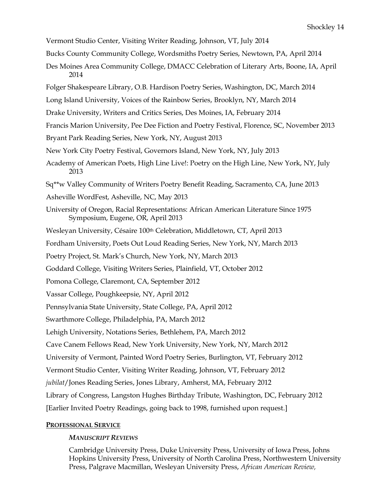- Vermont Studio Center, Visiting Writer Reading, Johnson, VT, July 2014
- Bucks County Community College, Wordsmiths Poetry Series, Newtown, PA, April 2014
- Des Moines Area Community College, DMACC Celebration of Literary Arts, Boone, IA, April 2014
- Folger Shakespeare Library, O.B. Hardison Poetry Series, Washington, DC, March 2014
- Long Island University, Voices of the Rainbow Series, Brooklyn, NY, March 2014
- Drake University, Writers and Critics Series, Des Moines, IA, February 2014
- Francis Marion University, Pee Dee Fiction and Poetry Festival, Florence, SC, November 2013
- Bryant Park Reading Series, New York, NY, August 2013
- New York City Poetry Festival, Governors Island, New York, NY, July 2013
- Academy of American Poets, High Line Live!: Poetry on the High Line, New York, NY, July 2013
- Sq\*\*w Valley Community of Writers Poetry Benefit Reading, Sacramento, CA, June 2013
- Asheville WordFest, Asheville, NC, May 2013
- University of Oregon, Racial Representations: African American Literature Since 1975 Symposium, Eugene, OR, April 2013
- Wesleyan University, Césaire 100<sup>th</sup> Celebration, Middletown, CT, April 2013
- Fordham University, Poets Out Loud Reading Series, New York, NY, March 2013
- Poetry Project, St. Mark's Church, New York, NY, March 2013
- Goddard College, Visiting Writers Series, Plainfield, VT, October 2012
- Pomona College, Claremont, CA, September 2012
- Vassar College, Poughkeepsie, NY, April 2012
- Pennsylvania State University, State College, PA, April 2012
- Swarthmore College, Philadelphia, PA, March 2012
- Lehigh University, Notations Series, Bethlehem, PA, March 2012
- Cave Canem Fellows Read, New York University, New York, NY, March 2012
- University of Vermont, Painted Word Poetry Series, Burlington, VT, February 2012
- Vermont Studio Center, Visiting Writer Reading, Johnson, VT, February 2012
- *jubilat*/Jones Reading Series, Jones Library, Amherst, MA, February 2012
- Library of Congress, Langston Hughes Birthday Tribute, Washington, DC, February 2012
- [Earlier Invited Poetry Readings, going back to 1998, furnished upon request.]

#### **PROFESSIONAL SERVICE**

#### *MANUSCRIPT REVIEWS*

Cambridge University Press, Duke University Press, University of Iowa Press, Johns Hopkins University Press, University of North Carolina Press, Northwestern University Press, Palgrave Macmillan, Wesleyan University Press, *African American Review,*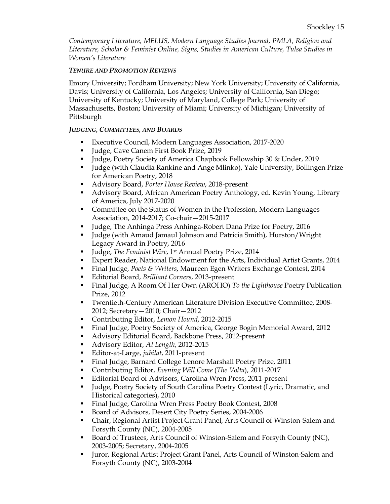*Contemporary Literature, MELUS, Modern Language Studies Journal, PMLA, Religion and Literature, Scholar & Feminist Online, Signs, Studies in American Culture, Tulsa Studies in Women's Literature*

### *TENURE AND PROMOTION REVIEWS*

Emory University; Fordham University; New York University; University of California, Davis; University of California, Los Angeles; University of California, San Diego; University of Kentucky; University of Maryland, College Park; University of Massachusetts, Boston; University of Miami; University of Michigan; University of Pittsburgh

### *JUDGING, COMMITTEES, AND BOARDS*

- § Executive Council, Modern Languages Association, 2017-2020
- Judge, Cave Canem First Book Prize, 2019
- § Judge, Poetry Society of America Chapbook Fellowship 30 & Under, 2019
- Judge (with Claudia Rankine and Ange Mlinko), Yale University, Bollingen Prize for American Poetry, 2018
- Advisory Board, *Porter House Review*, 2018-present
- § Advisory Board, African American Poetry Anthology, ed. Kevin Young, Library of America, July 2017-2020
- Committee on the Status of Women in the Profession, Modern Languages Association, 2014-2017; Co-chair—2015-2017
- Judge, The Anhinga Press Anhinga-Robert Dana Prize for Poetry, 2016
- § Judge (with Amaud Jamaul Johnson and Patricia Smith), Hurston/Wright Legacy Award in Poetry, 2016
- § Judge, *The Feminist Wire*, 1st Annual Poetry Prize, 2014
- § Expert Reader, National Endowment for the Arts, Individual Artist Grants, 2014
- § Final Judge, *Poets & Writers*, Maureen Egen Writers Exchange Contest, 2014
- § Editorial Board, *Brilliant Corners*, 2013-present
- § Final Judge, A Room Of Her Own (AROHO) *To the Lighthouse* Poetry Publication Prize, 2012
- § Twentieth-Century American Literature Division Executive Committee, 2008- 2012; Secretary—2010; Chair—2012
- Contributing Editor, *Lemon Hound*, 2012-2015
- § Final Judge, Poetry Society of America, George Bogin Memorial Award, 2012
- Advisory Editorial Board, Backbone Press, 2012-present
- § Advisory Editor, *At Length*, 2012-2015
- § Editor-at-Large, *jubilat*, 2011-present
- Final Judge, Barnard College Lenore Marshall Poetry Prize, 2011
- § Contributing Editor, *Evening Will Come* (*The Volta*), 2011-2017
- Editorial Board of Advisors, Carolina Wren Press, 2011-present
- § Judge, Poetry Society of South Carolina Poetry Contest (Lyric, Dramatic, and Historical categories), 2010
- Final Judge, Carolina Wren Press Poetry Book Contest, 2008
- § Board of Advisors, Desert City Poetry Series, 2004-2006
- § Chair, Regional Artist Project Grant Panel, Arts Council of Winston-Salem and Forsyth County (NC), 2004-2005
- Board of Trustees, Arts Council of Winston-Salem and Forsyth County (NC), 2003-2005; Secretary, 2004-2005
- § Juror, Regional Artist Project Grant Panel, Arts Council of Winston-Salem and Forsyth County (NC), 2003-2004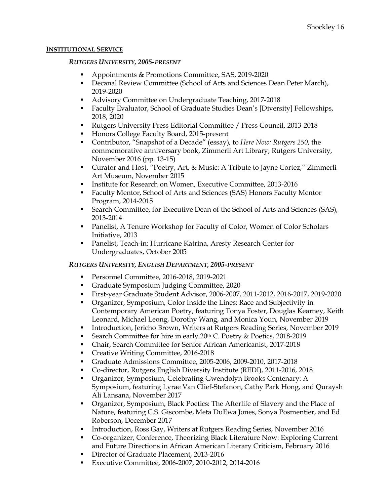#### **INSTITUTIONAL SERVICE**

#### *RUTGERS UNIVERSITY, 2005-PRESENT*

- Appointments & Promotions Committee, SAS, 2019-2020
- Decanal Review Committee (School of Arts and Sciences Dean Peter March), 2019-2020
- Advisory Committee on Undergraduate Teaching, 2017-2018
- Faculty Evaluator, School of Graduate Studies Dean's [Diversity] Fellowships, 2018, 2020
- § Rutgers University Press Editorial Committee / Press Council, 2013-2018
- Honors College Faculty Board, 2015-present
- § Contributor, "Snapshot of a Decade" (essay), to *Here Now: Rutgers 250*, the commemorative anniversary book, Zimmerli Art Library, Rutgers University, November 2016 (pp. 13-15)
- Curator and Host, "Poetry, Art, & Music: A Tribute to Jayne Cortez," Zimmerli Art Museum, November 2015
- Institute for Research on Women, Executive Committee, 2013-2016
- § Faculty Mentor, School of Arts and Sciences (SAS) Honors Faculty Mentor Program, 2014-2015
- Search Committee, for Executive Dean of the School of Arts and Sciences (SAS), 2013-2014
- Panelist, A Tenure Workshop for Faculty of Color, Women of Color Scholars Initiative, 2013
- Panelist, Teach-in: Hurricane Katrina, Aresty Research Center for Undergraduates, October 2005

### *RUTGERS UNIVERSITY, ENGLISH DEPARTMENT, 2005-PRESENT*

- § Personnel Committee, 2016-2018, 2019-2021
- § Graduate Symposium Judging Committee, 2020
- § First-year Graduate Student Advisor, 2006-2007, 2011-2012, 2016-2017, 2019-2020
- § Organizer, Symposium, Color Inside the Lines: Race and Subjectivity in Contemporary American Poetry, featuring Tonya Foster, Douglas Kearney, Keith Leonard, Michael Leong, Dorothy Wang, and Monica Youn, November 2019
- Introduction, Jericho Brown, Writers at Rutgers Reading Series, November 2019
- Search Committee for hire in early 20<sup>th</sup> C. Poetry & Poetics, 2018-2019
- Chair, Search Committee for Senior African Americanist, 2017-2018
- Creative Writing Committee, 2016-2018
- § Graduate Admissions Committee, 2005-2006, 2009-2010, 2017-2018
- § Co-director, Rutgers English Diversity Institute (REDI), 2011-2016, 2018
- § Organizer, Symposium, Celebrating Gwendolyn Brooks Centenary: A Symposium, featuring Lyrae Van Clief-Stefanon, Cathy Park Hong, and Quraysh Ali Lansana, November 2017
- § Organizer, Symposium, Black Poetics: The Afterlife of Slavery and the Place of Nature, featuring C.S. Giscombe, Meta DuEwa Jones, Sonya Posmentier, and Ed Roberson, December 2017
- § Introduction, Ross Gay, Writers at Rutgers Reading Series, November 2016
- § Co-organizer, Conference, Theorizing Black Literature Now: Exploring Current and Future Directions in African American Literary Criticism, February 2016
- Director of Graduate Placement, 2013-2016
- § Executive Committee, 2006-2007, 2010-2012, 2014-2016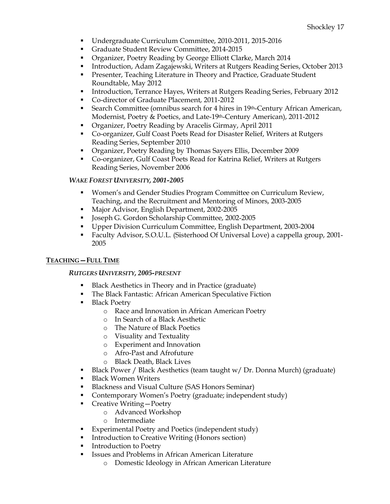- § Undergraduate Curriculum Committee, 2010-2011, 2015-2016
- § Graduate Student Review Committee, 2014-2015
- § Organizer, Poetry Reading by George Elliott Clarke, March 2014
- Introduction, Adam Zagajewski, Writers at Rutgers Reading Series, October 2013
- Presenter, Teaching Literature in Theory and Practice, Graduate Student Roundtable, May 2012
- Introduction, Terrance Hayes, Writers at Rutgers Reading Series, February 2012
- Co-director of Graduate Placement, 2011-2012
- Search Committee (omnibus search for 4 hires in 19th-Century African American, Modernist, Poetry & Poetics, and Late-19th-Century American), 2011-2012
- Organizer, Poetry Reading by Aracelis Girmay, April 2011
- § Co-organizer, Gulf Coast Poets Read for Disaster Relief, Writers at Rutgers Reading Series, September 2010
- § Organizer, Poetry Reading by Thomas Sayers Ellis, December 2009
- § Co-organizer, Gulf Coast Poets Read for Katrina Relief, Writers at Rutgers Reading Series, November 2006

### *WAKE FOREST UNIVERSITY, 2001-2005*

- § Women's and Gender Studies Program Committee on Curriculum Review, Teaching, and the Recruitment and Mentoring of Minors, 2003-2005
- § Major Advisor, English Department, 2002-2005
- § Joseph G. Gordon Scholarship Committee, 2002-2005
- § Upper Division Curriculum Committee, English Department, 2003-2004
- § Faculty Advisor, S.O.U.L. (Sisterhood Of Universal Love) a cappella group, 2001- 2005

### **TEACHING—FULL TIME**

### *RUTGERS UNIVERSITY, 2005-PRESENT*

- Black Aesthetics in Theory and in Practice (graduate)
- The Black Fantastic: African American Speculative Fiction
- Black Poetry
	- o Race and Innovation in African American Poetry
	- o In Search of a Black Aesthetic
	- o The Nature of Black Poetics
	- o Visuality and Textuality
	- o Experiment and Innovation
	- o Afro-Past and Afrofuture
	- o Black Death, Black Lives
- Black Power / Black Aesthetics (team taught w/ Dr. Donna Murch) (graduate)
- § Black Women Writers
- § Blackness and Visual Culture (SAS Honors Seminar)
- § Contemporary Women's Poetry (graduate; independent study)
- Creative Writing Poetry
	- o Advanced Workshop
	- o Intermediate
- Experimental Poetry and Poetics (independent study)
- Introduction to Creative Writing (Honors section)
- Introduction to Poetry
- Issues and Problems in African American Literature
	- o Domestic Ideology in African American Literature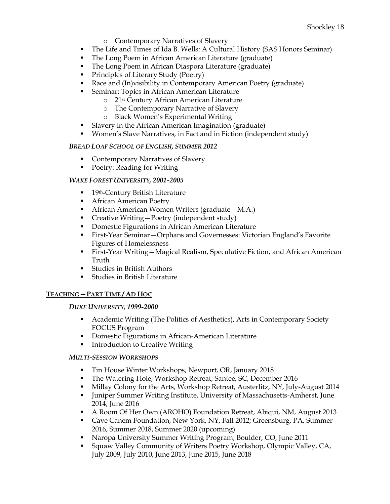- o Contemporary Narratives of Slavery
- The Life and Times of Ida B. Wells: A Cultural History (SAS Honors Seminar)
- The Long Poem in African American Literature (graduate)
- The Long Poem in African Diaspora Literature (graduate)
- Principles of Literary Study (Poetry)
- Race and (In)visibility in Contemporary American Poetry (graduate)
- Seminar: Topics in African American Literature
	- o 21st Century African American Literature
	- o The Contemporary Narrative of Slavery
	- o Black Women's Experimental Writing
- Slavery in the African American Imagination (graduate)
- Women's Slave Narratives, in Fact and in Fiction (independent study)

#### *BREAD LOAF SCHOOL OF ENGLISH, SUMMER 2012*

- Contemporary Narratives of Slavery
- Poetry: Reading for Writing

#### *WAKE FOREST UNIVERSITY, 2001-2005*

- 19th-Century British Literature
- African American Poetry
- African American Women Writers (graduate M.A.)
- Creative Writing Poetry (independent study)
- Domestic Figurations in African American Literature
- First-Year Seminar Orphans and Governesses: Victorian England's Favorite Figures of Homelessness
- First-Year Writing Magical Realism, Speculative Fiction, and African American Truth
- Studies in British Authors
- Studies in British Literature

#### **TEACHING—PART TIME / AD HOC**

#### *DUKE UNIVERSITY, 1999-2000*

- § Academic Writing (The Politics of Aesthetics), Arts in Contemporary Society FOCUS Program
- Domestic Figurations in African-American Literature
- Introduction to Creative Writing

#### *MULTI-SESSION WORKSHOPS*

- Tin House Winter Workshops, Newport, OR, January 2018
- The Watering Hole, Workshop Retreat, Santee, SC, December 2016
- Millay Colony for the Arts, Workshop Retreat, Austerlitz, NY, July-August 2014
- Juniper Summer Writing Institute, University of Massachusetts-Amherst, June 2014, June 2016
- § A Room Of Her Own (AROHO) Foundation Retreat, Abiqui, NM, August 2013
- § Cave Canem Foundation, New York, NY, Fall 2012; Greensburg, PA, Summer 2016, Summer 2018, Summer 2020 (upcoming)
- § Naropa University Summer Writing Program, Boulder, CO, June 2011
- § Squaw Valley Community of Writers Poetry Workshop, Olympic Valley, CA, July 2009, July 2010, June 2013, June 2015, June 2018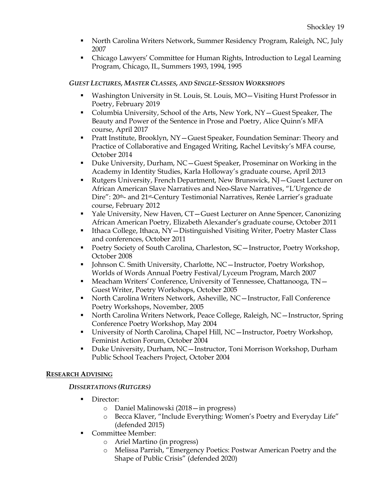- North Carolina Writers Network, Summer Residency Program, Raleigh, NC, July 2007
- Chicago Lawyers' Committee for Human Rights, Introduction to Legal Learning Program, Chicago, IL, Summers 1993, 1994, 1995

## *GUEST LECTURES, MASTER CLASSES, AND SINGLE-SESSION WORKSHOPS*

- Washington University in St. Louis, St. Louis, MO-Visiting Hurst Professor in Poetry, February 2019
- § Columbia University, School of the Arts, New York, NY—Guest Speaker, The Beauty and Power of the Sentence in Prose and Poetry, Alice Quinn's MFA course, April 2017
- Pratt Institute, Brooklyn, NY Guest Speaker, Foundation Seminar: Theory and Practice of Collaborative and Engaged Writing, Rachel Levitsky's MFA course, October 2014
- § Duke University, Durham, NC—Guest Speaker, Proseminar on Working in the Academy in Identity Studies, Karla Holloway's graduate course, April 2013
- Rutgers University, French Department, New Brunswick, NJ-Guest Lecturer on African American Slave Narratives and Neo-Slave Narratives, "L'Urgence de Dire": 20th- and 21st-Century Testimonial Narratives, Renée Larrier's graduate course, February 2012
- Yale University, New Haven, CT Guest Lecturer on Anne Spencer, Canonizing African American Poetry, Elizabeth Alexander's graduate course, October 2011
- Ithaca College, Ithaca, NY Distinguished Visiting Writer, Poetry Master Class and conferences, October 2011
- Poetry Society of South Carolina, Charleston, SC Instructor, Poetry Workshop, October 2008
- Johnson C. Smith University, Charlotte, NC Instructor, Poetry Workshop, Worlds of Words Annual Poetry Festival/Lyceum Program, March 2007
- Meacham Writers' Conference, University of Tennessee, Chattanooga, TN-Guest Writer, Poetry Workshops, October 2005
- North Carolina Writers Network, Asheville, NC-Instructor, Fall Conference Poetry Workshops, November, 2005
- North Carolina Writers Network, Peace College, Raleigh, NC Instructor, Spring Conference Poetry Workshop, May 2004
- University of North Carolina, Chapel Hill, NC Instructor, Poetry Workshop, Feminist Action Forum, October 2004
- Duke University, Durham, NC-Instructor, Toni Morrison Workshop, Durham Public School Teachers Project, October 2004

### **RESEARCH ADVISING**

### *DISSERTATIONS (RUTGERS)*

- Director:
	- o Daniel Malinowski (2018—in progress)
	- o Becca Klaver, "Include Everything: Women's Poetry and Everyday Life" (defended 2015)
- Committee Member:
	- o Ariel Martino (in progress)
	- o Melissa Parrish, "Emergency Poetics: Postwar American Poetry and the Shape of Public Crisis" (defended 2020)